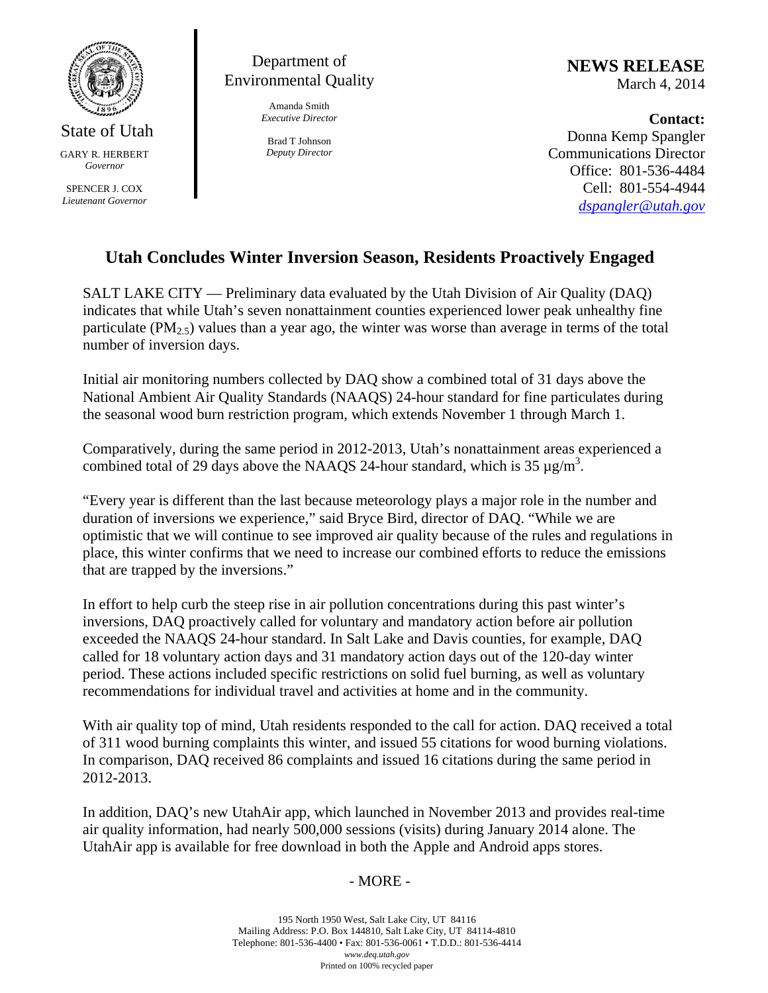

State of Utah GARY R. HERBERT *Governor* 

SPENCER J. COX *Lieutenant Governor* 



Amanda Smith *Executive Director* 

Brad T Johnson *Deputy Director*  **NEWS RELEASE** March 4, 2014

**Contact:**  Donna Kemp Spangler Communications Director Office: 801-536-4484 Cell: 801-554-4944 *dspangler@utah.gov*

## **Utah Concludes Winter Inversion Season, Residents Proactively Engaged**

SALT LAKE CITY — Preliminary data evaluated by the Utah Division of Air Quality (DAQ) indicates that while Utah's seven nonattainment counties experienced lower peak unhealthy fine particulate  $(PM_{2.5})$  values than a year ago, the winter was worse than average in terms of the total number of inversion days.

Initial air monitoring numbers collected by DAQ show a combined total of 31 days above the National Ambient Air Quality Standards (NAAQS) 24-hour standard for fine particulates during the seasonal wood burn restriction program, which extends November 1 through March 1.

Comparatively, during the same period in 2012-2013, Utah's nonattainment areas experienced a combined total of 29 days above the NAAQS 24-hour standard, which is 35  $\mu$ g/m<sup>3</sup>.

"Every year is different than the last because meteorology plays a major role in the number and duration of inversions we experience," said Bryce Bird, director of DAQ. "While we are optimistic that we will continue to see improved air quality because of the rules and regulations in place, this winter confirms that we need to increase our combined efforts to reduce the emissions that are trapped by the inversions."

In effort to help curb the steep rise in air pollution concentrations during this past winter's inversions, DAQ proactively called for voluntary and mandatory action before air pollution exceeded the NAAQS 24-hour standard. In Salt Lake and Davis counties, for example, DAQ called for 18 voluntary action days and 31 mandatory action days out of the 120-day winter period. These actions included specific restrictions on solid fuel burning, as well as voluntary recommendations for individual travel and activities at home and in the community.

With air quality top of mind, Utah residents responded to the call for action. DAQ received a total of 311 wood burning complaints this winter, and issued 55 citations for wood burning violations. In comparison, DAQ received 86 complaints and issued 16 citations during the same period in 2012-2013.

In addition, DAQ's new UtahAir app, which launched in November 2013 and provides real-time air quality information, had nearly 500,000 sessions (visits) during January 2014 alone. The UtahAir app is available for free download in both the Apple and Android apps stores.

## - MORE -